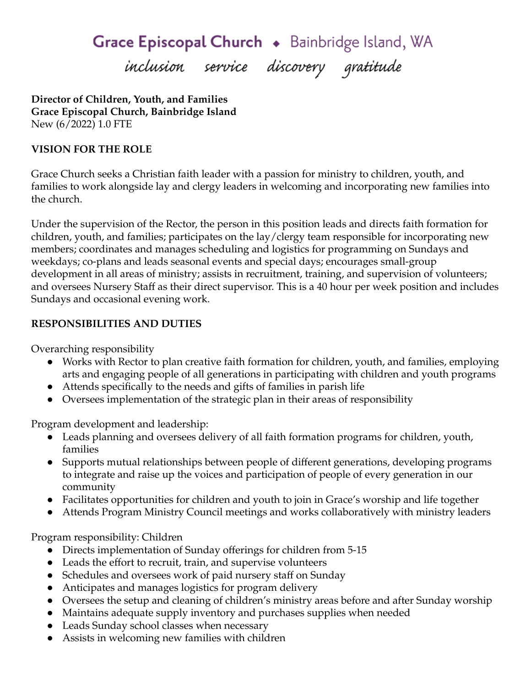Grace Episcopal Church . Bainbridge Island, WA

inclusion service discovery gratitude

**Director of Children, Youth, and Families Grace Episcopal Church, Bainbridge Island** New (6/2022) 1.0 FTE

## **VISION FOR THE ROLE**

Grace Church seeks a Christian faith leader with a passion for ministry to children, youth, and families to work alongside lay and clergy leaders in welcoming and incorporating new families into the church.

Under the supervision of the Rector, the person in this position leads and directs faith formation for children, youth, and families; participates on the lay/clergy team responsible for incorporating new members; coordinates and manages scheduling and logistics for programming on Sundays and weekdays; co-plans and leads seasonal events and special days; encourages small-group development in all areas of ministry; assists in recruitment, training, and supervision of volunteers; and oversees Nursery Staff as their direct supervisor. This is a 40 hour per week position and includes Sundays and occasional evening work.

## **RESPONSIBILITIES AND DUTIES**

Overarching responsibility

- Works with Rector to plan creative faith formation for children, youth, and families, employing arts and engaging people of all generations in participating with children and youth programs
- Attends specifically to the needs and gifts of families in parish life
- Oversees implementation of the strategic plan in their areas of responsibility

Program development and leadership:

- Leads planning and oversees delivery of all faith formation programs for children, youth, families
- Supports mutual relationships between people of different generations, developing programs to integrate and raise up the voices and participation of people of every generation in our community
- Facilitates opportunities for children and youth to join in Grace's worship and life together
- Attends Program Ministry Council meetings and works collaboratively with ministry leaders

Program responsibility: Children

- Directs implementation of Sunday offerings for children from 5-15
- Leads the effort to recruit, train, and supervise volunteers
- Schedules and oversees work of paid nursery staff on Sunday
- Anticipates and manages logistics for program delivery
- Oversees the setup and cleaning of children's ministry areas before and after Sunday worship
- Maintains adequate supply inventory and purchases supplies when needed
- Leads Sunday school classes when necessary
- Assists in welcoming new families with children